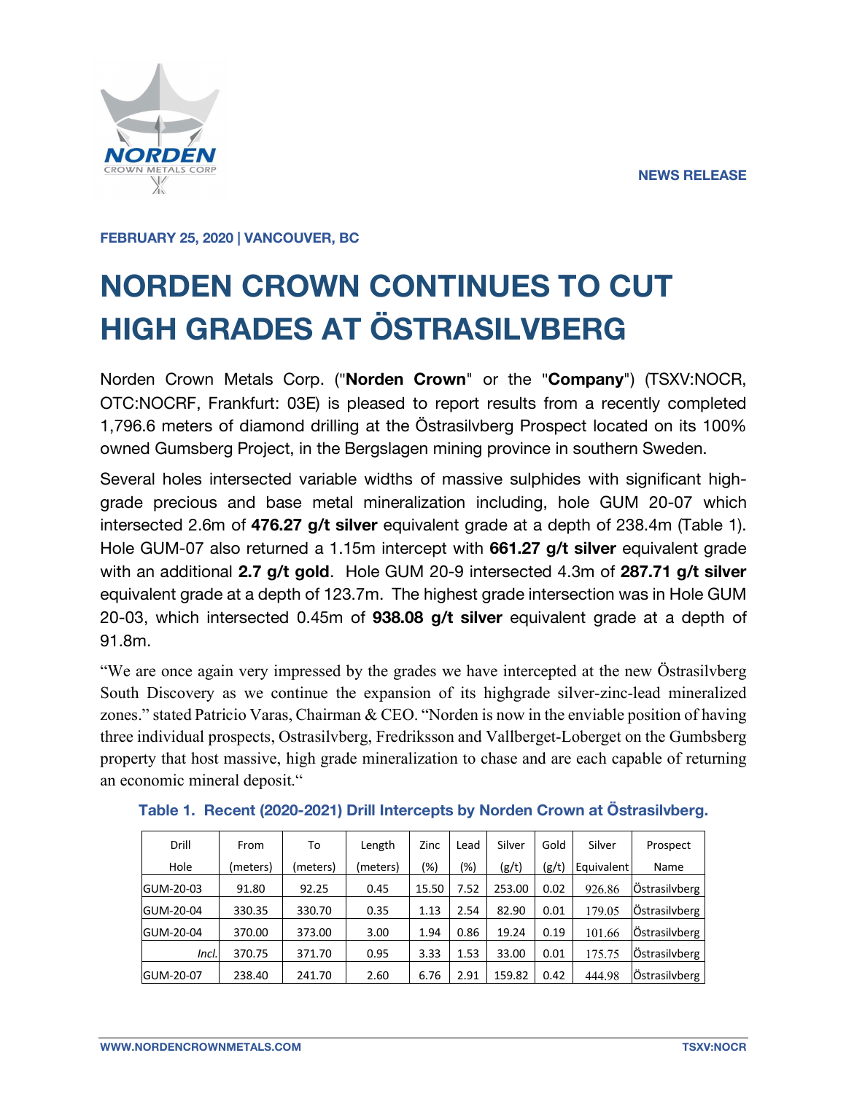

**FEBRUARY 25, 2020 | VANCOUVER, BC**

# **NORDEN CROWN CONTINUES TO CUT HIGH GRADES AT ÖSTRASILVBERG**

Norden Crown Metals Corp. ("**Norden Crown**" or the "**Company**") (TSXV:NOCR, OTC:NOCRF, Frankfurt: 03E) is pleased to report results from a recently completed 1,796.6 meters of diamond drilling at the Östrasilvberg Prospect located on its 100% owned Gumsberg Project, in the Bergslagen mining province in southern Sweden.

Several holes intersected variable widths of massive sulphides with significant highgrade precious and base metal mineralization including, hole GUM 20-07 which intersected 2.6m of **476.27 g/t silver** equivalent grade at a depth of 238.4m (Table 1). Hole GUM-07 also returned a 1.15m intercept with **661.27 g/t silver** equivalent grade with an additional **2.7 g/t gold**. Hole GUM 20-9 intersected 4.3m of **287.71 g/t silver** equivalent grade at a depth of 123.7m. The highest grade intersection was in Hole GUM 20-03, which intersected 0.45m of **938.08 g/t silver** equivalent grade at a depth of 91.8m.

"We are once again very impressed by the grades we have intercepted at the new Östrasilvberg South Discovery as we continue the expansion of its highgrade silver-zinc-lead mineralized zones." stated Patricio Varas, Chairman & CEO. "Norden is now in the enviable position of having three individual prospects, Ostrasilvberg, Fredriksson and Vallberget-Loberget on the Gumbsberg property that host massive, high grade mineralization to chase and are each capable of returning an economic mineral deposit."

| Drill     | To<br>From           |        | Length   | Zinc  | Lead | Silver | Gold  | Silver     | Prospect      |
|-----------|----------------------|--------|----------|-------|------|--------|-------|------------|---------------|
| Hole      | (meters)<br>(meters) |        | (meters) | (%)   | (%)  | (g/t)  | (g/t) | Equivalent | Name          |
| GUM-20-03 | 91.80                | 92.25  | 0.45     | 15.50 | 7.52 | 253.00 | 0.02  | 926.86     | Östrasilvberg |
| GUM-20-04 | 330.35               | 330.70 | 0.35     | 1.13  | 2.54 | 82.90  | 0.01  | 179.05     | Östrasilvberg |
| GUM-20-04 | 370.00               | 373.00 | 3.00     | 1.94  | 0.86 | 19.24  | 0.19  | 101.66     | Östrasilvberg |
| Incl.     | 370.75               | 371.70 | 0.95     | 3.33  | 1.53 | 33.00  | 0.01  | 175.75     | Östrasilvberg |
| GUM-20-07 | 238.40               | 241.70 | 2.60     | 6.76  | 2.91 | 159.82 | 0.42  | 444.98     | Östrasilvberg |

**Table 1. Recent (2020-2021) Drill Intercepts by Norden Crown at Östrasilvberg.**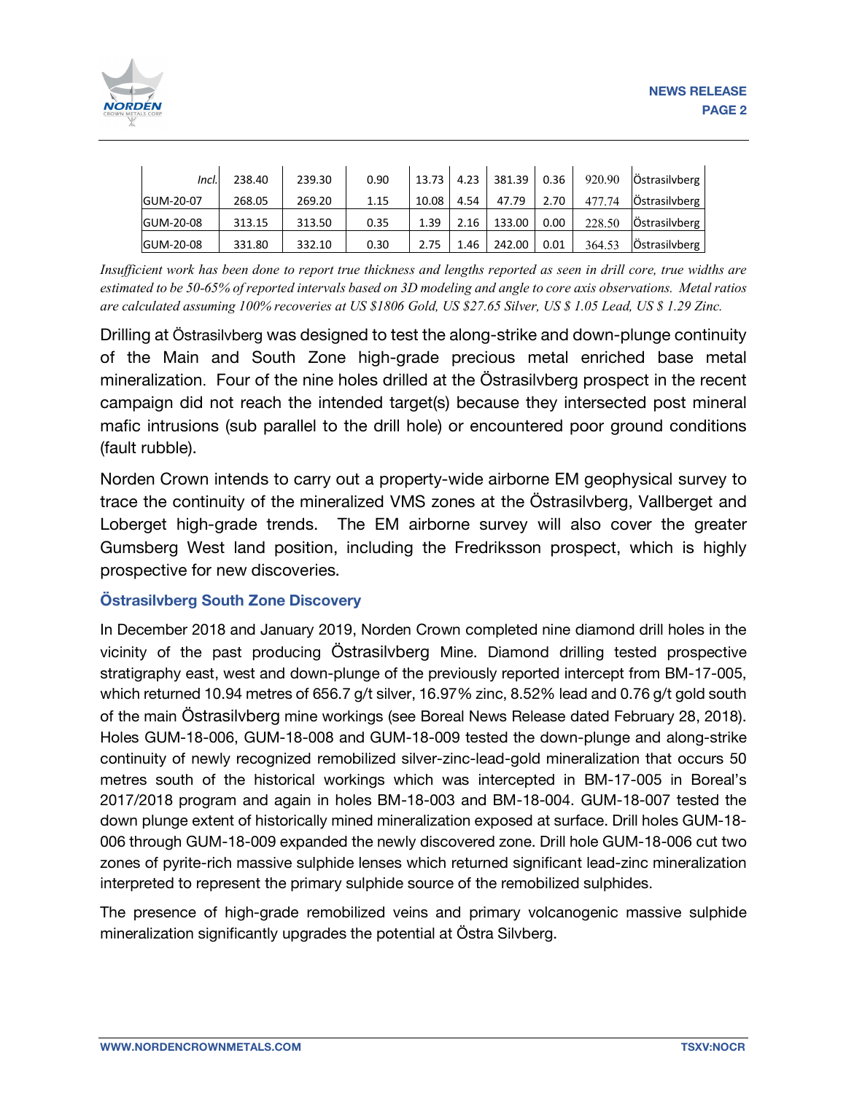

| Incl.     | 238.40 | 239.30 | 0.90 | 13.73 | 4.23 | 381.39 | 0.36 | 920.90 | Östrasilvberg |
|-----------|--------|--------|------|-------|------|--------|------|--------|---------------|
| GUM-20-07 | 268.05 | 269.20 | 1.15 | 10.08 | 4.54 | 47.79  | 2.70 | 477.74 | Östrasilvberg |
| GUM-20-08 | 313.15 | 313.50 | 0.35 | 1.39  | 2.16 | 133.00 | 0.00 | 228.50 | Östrasilvberg |
| GUM-20-08 | 331.80 | 332.10 | 0.30 | 2.75  | 1.46 | 242.00 | 0.01 | 364.53 | Östrasilvberg |

Insufficient work has been done to report true thickness and lengths reported as seen in drill core, true widths are estimated to be 50-65% of reported intervals based on 3D modeling and angle to core axis observations. Metal ratios are calculated assuming 100% recoveries at US \$1806 Gold, US \$27.65 Silver, US \$ 1.05 Lead, US \$ 1.29 Zinc.

Drilling at Östrasilvberg was designed to test the along-strike and down-plunge continuity of the Main and South Zone high-grade precious metal enriched base metal mineralization. Four of the nine holes drilled at the Östrasilvberg prospect in the recent campaign did not reach the intended target(s) because they intersected post mineral mafic intrusions (sub parallel to the drill hole) or encountered poor ground conditions (fault rubble).

Norden Crown intends to carry out a property-wide airborne EM geophysical survey to trace the continuity of the mineralized VMS zones at the Östrasilvberg, Vallberget and Loberget high-grade trends. The EM airborne survey will also cover the greater Gumsberg West land position, including the Fredriksson prospect, which is highly prospective for new discoveries.

## **Östrasilvberg South Zone Discovery**

In December 2018 and January 2019, Norden Crown completed nine diamond drill holes in the vicinity of the past producing Östrasilvberg Mine. Diamond drilling tested prospective stratigraphy east, west and down-plunge of the previously reported intercept from BM-17-005, which returned 10.94 metres of 656.7 g/t silver, 16.97% zinc, 8.52% lead and 0.76 g/t gold south of the main Östrasilvberg mine workings (see Boreal News Release dated February 28, 2018). Holes GUM-18-006, GUM-18-008 and GUM-18-009 tested the down-plunge and along-strike continuity of newly recognized remobilized silver-zinc-lead-gold mineralization that occurs 50 metres south of the historical workings which was intercepted in BM-17-005 in Boreal's 2017/2018 program and again in holes BM-18-003 and BM-18-004. GUM-18-007 tested the down plunge extent of historically mined mineralization exposed at surface. Drill holes GUM-18- 006 through GUM-18-009 expanded the newly discovered zone. Drill hole GUM-18-006 cut two zones of pyrite-rich massive sulphide lenses which returned significant lead-zinc mineralization interpreted to represent the primary sulphide source of the remobilized sulphides.

The presence of high-grade remobilized veins and primary volcanogenic massive sulphide mineralization significantly upgrades the potential at Östra Silvberg.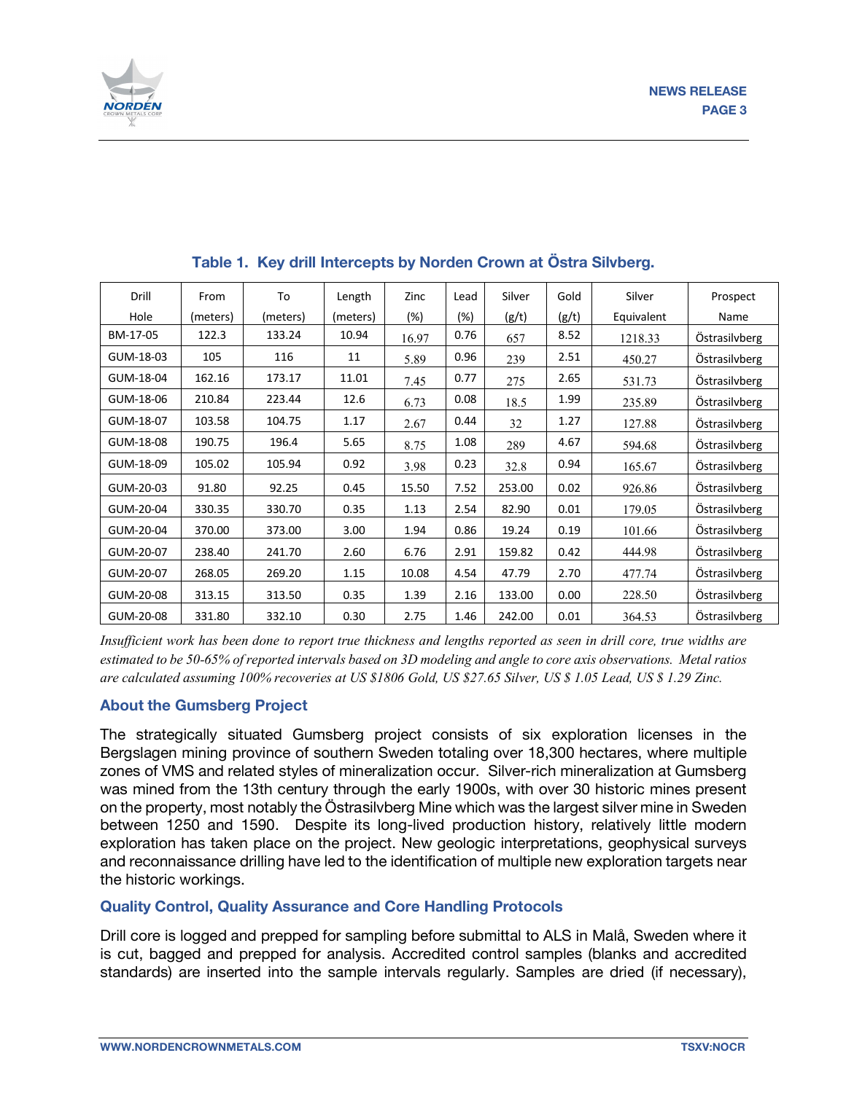

| Drill     | From     | To       | Length   | Zinc   | Lead   | Silver | Gold  | Silver     | Prospect      |
|-----------|----------|----------|----------|--------|--------|--------|-------|------------|---------------|
| Hole      | (meters) | (meters) | (meters) | $(\%)$ | $(\%)$ | (g/t)  | (g/t) | Equivalent | Name          |
| BM-17-05  | 122.3    | 133.24   | 10.94    | 16.97  | 0.76   | 657    | 8.52  | 1218.33    | Östrasilvberg |
| GUM-18-03 | 105      | 116      | 11       | 5.89   | 0.96   | 239    | 2.51  | 450.27     | Östrasilvberg |
| GUM-18-04 | 162.16   | 173.17   | 11.01    | 7.45   | 0.77   | 275    | 2.65  | 531.73     | Östrasilvberg |
| GUM-18-06 | 210.84   | 223.44   | 12.6     | 6.73   | 0.08   | 18.5   | 1.99  | 235.89     | Östrasilvberg |
| GUM-18-07 | 103.58   | 104.75   | 1.17     | 2.67   | 0.44   | 32     | 1.27  | 127.88     | Östrasilvberg |
| GUM-18-08 | 190.75   | 196.4    | 5.65     | 8.75   | 1.08   | 289    | 4.67  | 594.68     | Östrasilvberg |
| GUM-18-09 | 105.02   | 105.94   | 0.92     | 3.98   | 0.23   | 32.8   | 0.94  | 165.67     | Östrasilvberg |
| GUM-20-03 | 91.80    | 92.25    | 0.45     | 15.50  | 7.52   | 253.00 | 0.02  | 926.86     | Östrasilvberg |
| GUM-20-04 | 330.35   | 330.70   | 0.35     | 1.13   | 2.54   | 82.90  | 0.01  | 179.05     | Östrasilvberg |
| GUM-20-04 | 370.00   | 373.00   | 3.00     | 1.94   | 0.86   | 19.24  | 0.19  | 101.66     | Östrasilvberg |
| GUM-20-07 | 238.40   | 241.70   | 2.60     | 6.76   | 2.91   | 159.82 | 0.42  | 444.98     | Östrasilvberg |
| GUM-20-07 | 268.05   | 269.20   | 1.15     | 10.08  | 4.54   | 47.79  | 2.70  | 477.74     | Östrasilvberg |
| GUM-20-08 | 313.15   | 313.50   | 0.35     | 1.39   | 2.16   | 133.00 | 0.00  | 228.50     | Östrasilvberg |
| GUM-20-08 | 331.80   | 332.10   | 0.30     | 2.75   | 1.46   | 242.00 | 0.01  | 364.53     | Östrasilvberg |

# **Table 1. Key drill Intercepts by Norden Crown at Östra Silvberg.**

Insufficient work has been done to report true thickness and lengths reported as seen in drill core, true widths are estimated to be 50-65% of reported intervals based on 3D modeling and angle to core axis observations. Metal ratios are calculated assuming 100% recoveries at US \$1806 Gold, US \$27.65 Silver, US \$ 1.05 Lead, US \$ 1.29 Zinc.

## **About the Gumsberg Project**

The strategically situated Gumsberg project consists of six exploration licenses in the Bergslagen mining province of southern Sweden totaling over 18,300 hectares, where multiple zones of VMS and related styles of mineralization occur. Silver-rich mineralization at Gumsberg was mined from the 13th century through the early 1900s, with over 30 historic mines present on the property, most notably the Östrasilvberg Mine which was the largest silver mine in Sweden between 1250 and 1590. Despite its long-lived production history, relatively little modern exploration has taken place on the project. New geologic interpretations, geophysical surveys and reconnaissance drilling have led to the identification of multiple new exploration targets near the historic workings.

## **Quality Control, Quality Assurance and Core Handling Protocols**

Drill core is logged and prepped for sampling before submittal to ALS in Malå, Sweden where it is cut, bagged and prepped for analysis. Accredited control samples (blanks and accredited standards) are inserted into the sample intervals regularly. Samples are dried (if necessary),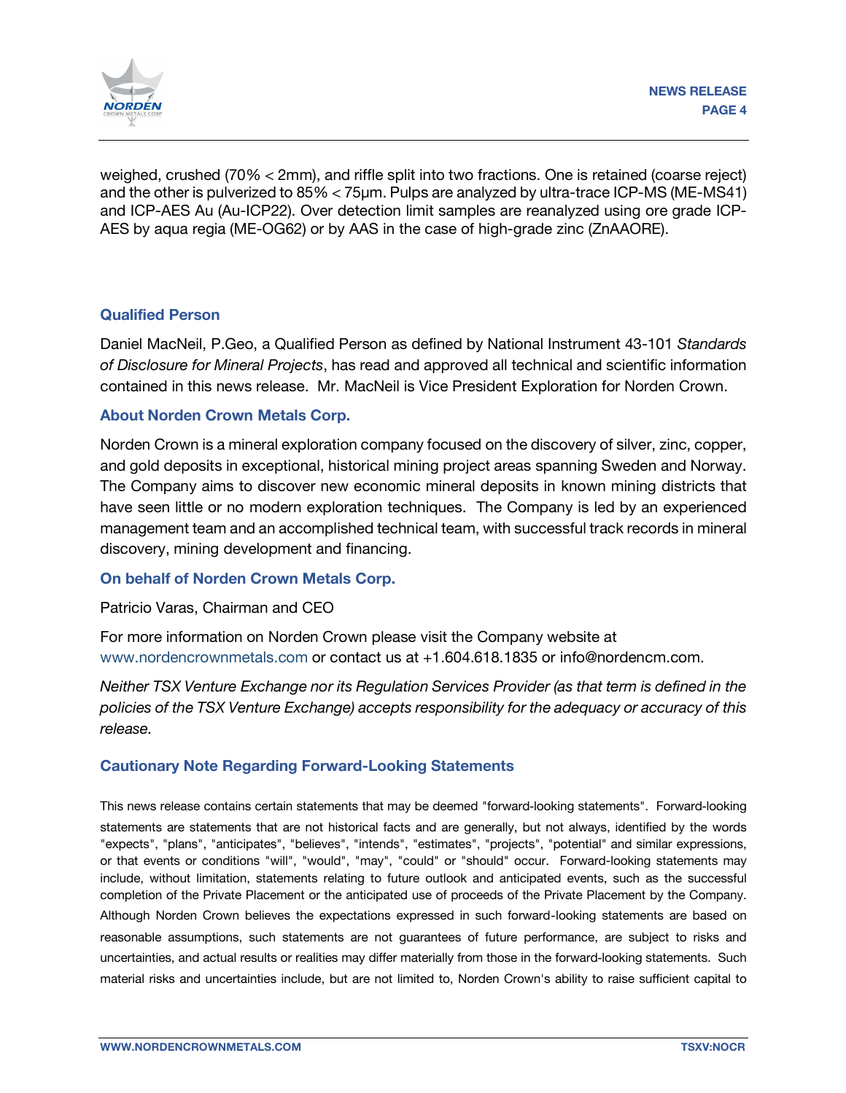

weighed, crushed (70% < 2mm), and riffle split into two fractions. One is retained (coarse reject) and the other is pulverized to 85% < 75µm. Pulps are analyzed by ultra-trace ICP-MS (ME-MS41) and ICP-AES Au (Au-ICP22). Over detection limit samples are reanalyzed using ore grade ICP-AES by aqua regia (ME-OG62) or by AAS in the case of high-grade zinc (ZnAAORE).

#### **Qualified Person**

Daniel MacNeil, P.Geo, a Qualified Person as defined by National Instrument 43-101 *Standards of Disclosure for Mineral Projects*, has read and approved all technical and scientific information contained in this news release. Mr. MacNeil is Vice President Exploration for Norden Crown.

#### **About Norden Crown Metals Corp.**

Norden Crown is a mineral exploration company focused on the discovery of silver, zinc, copper, and gold deposits in exceptional, historical mining project areas spanning Sweden and Norway. The Company aims to discover new economic mineral deposits in known mining districts that have seen little or no modern exploration techniques. The Company is led by an experienced management team and an accomplished technical team, with successful track records in mineral discovery, mining development and financing.

#### **On behalf of Norden Crown Metals Corp.**

Patricio Varas, Chairman and CEO

For more information on Norden Crown please visit the Company website at www.nordencrownmetals.com or contact us at +1.604.618.1835 or info@nordencm.com.

*Neither TSX Venture Exchange nor its Regulation Services Provider (as that term is defined in the policies of the TSX Venture Exchange) accepts responsibility for the adequacy or accuracy of this release.* 

## **Cautionary Note Regarding Forward-Looking Statements**

This news release contains certain statements that may be deemed "forward‐looking statements". Forward‐looking statements are statements that are not historical facts and are generally, but not always, identified by the words "expects", "plans", "anticipates", "believes", "intends", "estimates", "projects", "potential" and similar expressions, or that events or conditions "will", "would", "may", "could" or "should" occur. Forward-looking statements may include, without limitation, statements relating to future outlook and anticipated events, such as the successful completion of the Private Placement or the anticipated use of proceeds of the Private Placement by the Company. Although Norden Crown believes the expectations expressed in such forward‐looking statements are based on reasonable assumptions, such statements are not guarantees of future performance, are subject to risks and uncertainties, and actual results or realities may differ materially from those in the forward‐looking statements. Such material risks and uncertainties include, but are not limited to, Norden Crown's ability to raise sufficient capital to